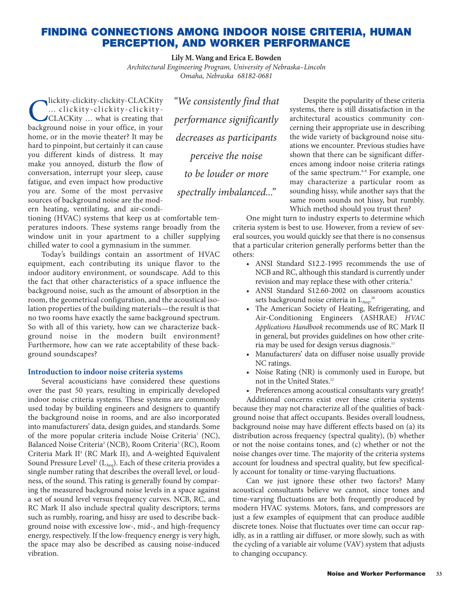# **FINDING CONNECTIONS AMONG INDOOR NOISE CRITERIA, HUMAN PERCEPTION, AND WORKER PERFORMANCE**

**Lily M. Wang and Erica E. Bowden**

*Architectural Engineering Program, University of Nebraska–Lincoln Omaha, Nebraska 68182-0681*

Clickity-clickity-clickity-CLACKity<br>CLACKity ... what is creating that<br>hackground noise in your office, in your … clickity-clickity-clickity-CLACKity … what is creating that background noise in your office, in your home, or in the movie theater? It may be hard to pinpoint, but certainly it can cause you different kinds of distress. It may make you annoyed, disturb the flow of conversation, interrupt your sleep, cause fatigue, and even impact how productive you are. Some of the most pervasive sources of background noise are the modern heating, ventilating, and air-condi-

tioning (HVAC) systems that keep us at comfortable temperatures indoors. These systems range broadly from the window unit in your apartment to a chiller supplying chilled water to cool a gymnasium in the summer.

Today's buildings contain an assortment of HVAC equipment, each contributing its unique flavor to the indoor auditory environment, or soundscape. Add to this the fact that other characteristics of a space influence the background noise, such as the amount of absorption in the room, the geometrical configuration, and the acoustical isolation properties of the building materials—the result is that no two rooms have exactly the same background spectrum. So with all of this variety, how can we characterize background noise in the modern built environment? Furthermore, how can we rate acceptability of these background soundscapes?

## **Introduction to indoor noise criteria systems**

Several acousticians have considered these questions over the past 50 years, resulting in empirically developed indoor noise criteria systems. These systems are commonly used today by building engineers and designers to quantify the background noise in rooms, and are also incorporated into manufacturers' data, design guides, and standards. Some of the more popular criteria include Noise Criteria<sup>1</sup> (NC), Balanced Noise Criteria<sup>2</sup> (NCB), Room Criteria<sup>3</sup> (RC), Room Criteria Mark II<sup>4</sup> (RC Mark II), and A-weighted Equivalent Sound Pressure Level<sup>5</sup> ( $L_{Aeq}$ ). Each of these criteria provides a single number rating that describes the overall level, or loudness, of the sound. This rating is generally found by comparing the measured background noise levels in a space against a set of sound level versus frequency curves. NCB, RC, and RC Mark II also include spectral quality descriptors; terms such as rumbly, roaring, and hissy are used to describe background noise with excessive low-, mid-, and high-frequency energy, respectively. If the low-frequency energy is very high, the space may also be described as causing noise-induced vibration.

*"We consistently find that performance significantly decreases as participants perceive the noise to be louder or more spectrally imbalanced..."*

Despite the popularity of these criteria systems, there is still dissatisfaction in the architectural acoustics community concerning their appropriate use in describing the wide variety of background noise situations we encounter. Previous studies have shown that there can be significant differences among indoor noise criteria ratings of the same spectrum.<sup>6-8</sup> For example, one may characterize a particular room as sounding hissy, while another says that the same room sounds not hissy, but rumbly. Which method should you trust then?

One might turn to industry experts to determine which criteria system is best to use. However, from a review of several sources, you would quickly see that there is no consensus that a particular criterion generally performs better than the others:

- ANSI Standard S12.2-1995 recommends the use of NCB and RC, although this standard is currently under revision and may replace these with other criteria.<sup>9</sup>
- ANSI Standard S12.60-2002 on classroom acoustics sets background noise criteria in  $L_{Aeq}$ .<sup>10</sup>
- The American Society of Heating, Refrigerating, and Air-Conditioning Engineers (ASHRAE) *HVAC Applications Handbook* recommends use of RC Mark II in general, but provides guidelines on how other criteria may be used for design versus diagnosis.<sup>11</sup>
- Manufacturers' data on diffuser noise usually provide NC ratings.
- Noise Rating (NR) is commonly used in Europe, but not in the United States.12
- Preferences among acoustical consultants vary greatly!

Additional concerns exist over these criteria systems because they may not characterize all of the qualities of background noise that affect occupants. Besides overall loudness, background noise may have different effects based on (a) its distribution across frequency (spectral quality), (b) whether or not the noise contains tones, and (c) whether or not the noise changes over time. The majority of the criteria systems account for loudness and spectral quality, but few specifically account for tonality or time-varying fluctuations.

Can we just ignore these other two factors? Many acoustical consultants believe we cannot, since tones and time-varying fluctuations are both frequently produced by modern HVAC systems. Motors, fans, and compressors are just a few examples of equipment that can produce audible discrete tones. Noise that fluctuates over time can occur rapidly, as in a rattling air diffuser, or more slowly, such as with the cycling of a variable air volume (VAV) system that adjusts to changing occupancy.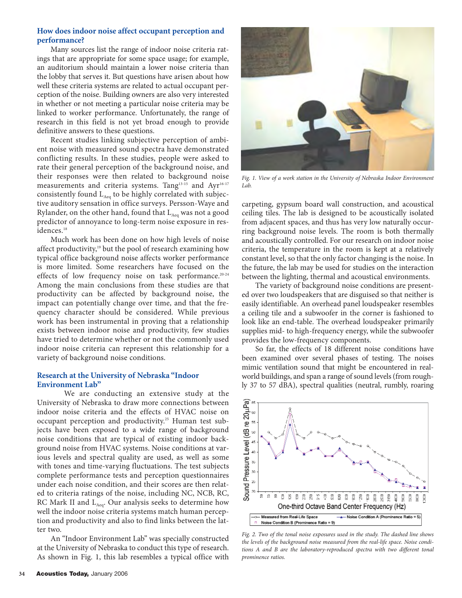# **How does indoor noise affect occupant perception and performance?**

Many sources list the range of indoor noise criteria ratings that are appropriate for some space usage; for example, an auditorium should maintain a lower noise criteria than the lobby that serves it. But questions have arisen about how well these criteria systems are related to actual occupant perception of the noise. Building owners are also very interested in whether or not meeting a particular noise criteria may be linked to worker performance. Unfortunately, the range of research in this field is not yet broad enough to provide definitive answers to these questions.

Recent studies linking subjective perception of ambient noise with measured sound spectra have demonstrated conflicting results. In these studies, people were asked to rate their general perception of the background noise, and their responses were then related to background noise measurements and criteria systems. Tang<sup>13-15</sup> and Ayr<sup>16-17</sup> consistently found  $L_{Aeq}$  to be highly correlated with subjective auditory sensation in office surveys. Persson-Waye and Rylander, on the other hand, found that  $L_{Aea}$  was not a good predictor of annoyance to long-term noise exposure in residences.<sup>18</sup>

Much work has been done on how high levels of noise affect productivity,<sup>19</sup> but the pool of research examining how typical office background noise affects worker performance is more limited. Some researchers have focused on the effects of low frequency noise on task performance.<sup>20-24</sup> Among the main conclusions from these studies are that productivity can be affected by background noise, the impact can potentially change over time, and that the frequency character should be considered. While previous work has been instrumental in proving that a relationship exists between indoor noise and productivity, few studies have tried to determine whether or not the commonly used indoor noise criteria can represent this relationship for a variety of background noise conditions.

# **Research at the University of Nebraska "Indoor Environment Lab"**

We are conducting an extensive study at the University of Nebraska to draw more connections between indoor noise criteria and the effects of HVAC noise on occupant perception and productivity.<sup>25</sup> Human test subjects have been exposed to a wide range of background noise conditions that are typical of existing indoor background noise from HVAC systems. Noise conditions at various levels and spectral quality are used, as well as some with tones and time-varying fluctuations. The test subjects complete performance tests and perception questionnaires under each noise condition, and their scores are then related to criteria ratings of the noise, including NC, NCB, RC, RC Mark II and  $L_{Aea}$ . Our analysis seeks to determine how well the indoor noise criteria systems match human perception and productivity and also to find links between the latter two.

An "Indoor Environment Lab" was specially constructed at the University of Nebraska to conduct this type of research. As shown in Fig. 1, this lab resembles a typical office with



*Fig. 1. View of a work station in the University of Nebraska Indoor Environment Lab.*

carpeting, gypsum board wall construction, and acoustical ceiling tiles. The lab is designed to be acoustically isolated from adjacent spaces, and thus has very low naturally occurring background noise levels. The room is both thermally and acoustically controlled. For our research on indoor noise criteria, the temperature in the room is kept at a relatively constant level, so that the only factor changing is the noise. In the future, the lab may be used for studies on the interaction between the lighting, thermal and acoustical environments.

The variety of background noise conditions are presented over two loudspeakers that are disguised so that neither is easily identifiable. An overhead panel loudspeaker resembles a ceiling tile and a subwoofer in the corner is fashioned to look like an end-table. The overhead loudspeaker primarily supplies mid- to high-frequency energy, while the subwoofer provides the low-frequency components.

So far, the effects of 18 different noise conditions have been examined over several phases of testing. The noises mimic ventilation sound that might be encountered in realworld buildings, and span a range of sound levels (from roughly 37 to 57 dBA), spectral qualities (neutral, rumbly, roaring



*Fig. 2. Two of the tonal noise exposures used in the study. The dashed line shows the levels of the background noise measured from the real-life space. Noise conditions A and B are the laboratory-reproduced spectra with two different tonal prominence ratios.*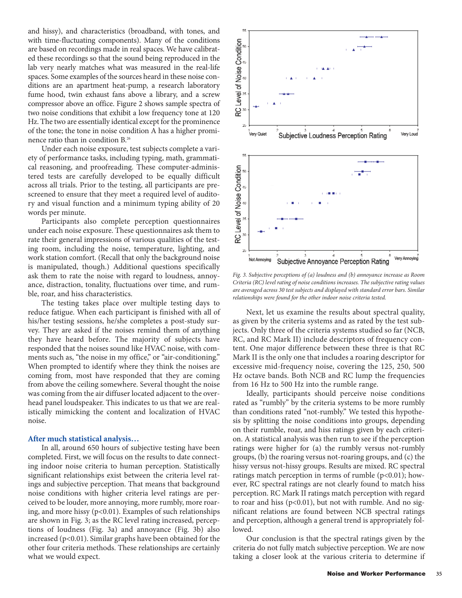and hissy), and characteristics (broadband, with tones, and with time-fluctuating components). Many of the conditions are based on recordings made in real spaces. We have calibrated these recordings so that the sound being reproduced in the lab very nearly matches what was measured in the real-life spaces. Some examples of the sources heard in these noise conditions are an apartment heat-pump, a research laboratory fume hood, twin exhaust fans above a library, and a screw compressor above an office. Figure 2 shows sample spectra of two noise conditions that exhibit a low frequency tone at 120 Hz. The two are essentially identical except for the prominence of the tone; the tone in noise condition A has a higher prominence ratio than in condition B.26

Under each noise exposure, test subjects complete a variety of performance tasks, including typing, math, grammatical reasoning, and proofreading. These computer-administered tests are carefully developed to be equally difficult across all trials. Prior to the testing, all participants are prescreened to ensure that they meet a required level of auditory and visual function and a minimum typing ability of 20 words per minute.

Participants also complete perception questionnaires under each noise exposure. These questionnaires ask them to rate their general impressions of various qualities of the testing room, including the noise, temperature, lighting, and work station comfort. (Recall that only the background noise is manipulated, though.) Additional questions specifically ask them to rate the noise with regard to loudness, annoyance, distraction, tonality, fluctuations over time, and rumble, roar, and hiss characteristics.

The testing takes place over multiple testing days to reduce fatigue. When each participant is finished with all of his/her testing sessions, he/she completes a post-study survey. They are asked if the noises remind them of anything they have heard before. The majority of subjects have responded that the noises sound like HVAC noise, with comments such as, "the noise in my office," or "air-conditioning." When prompted to identify where they think the noises are coming from, most have responded that they are coming from above the ceiling somewhere. Several thought the noise was coming from the air diffuser located adjacent to the overhead panel loudspeaker. This indicates to us that we are realistically mimicking the content and localization of HVAC noise.

#### **After much statistical analysis…**

In all, around 650 hours of subjective testing have been completed. First, we will focus on the results to date connecting indoor noise criteria to human perception. Statistically significant relationships exist between the criteria level ratings and subjective perception. That means that background noise conditions with higher criteria level ratings are perceived to be louder, more annoying, more rumbly, more roaring, and more hissy ( $p<0.01$ ). Examples of such relationships are shown in Fig. 3; as the RC level rating increased, perceptions of loudness (Fig. 3a) and annoyance (Fig. 3b) also increased (p<0.01). Similar graphs have been obtained for the other four criteria methods. These relationships are certainly what we would expect.



*Fig. 3. Subjective perceptions of (a) loudness and (b) annoyance increase as Room Criteria (RC) level rating of noise conditions increases. The subjective rating values are averaged across 30 test subjects and displayed with standard error bars. Similar relationships were found for the other indoor noise criteria tested.*

Next, let us examine the results about spectral quality, as given by the criteria systems and as rated by the test subjects. Only three of the criteria systems studied so far (NCB, RC, and RC Mark II) include descriptors of frequency content. One major difference between these three is that RC Mark II is the only one that includes a roaring descriptor for excessive mid-frequency noise, covering the 125, 250, 500 Hz octave bands. Both NCB and RC lump the frequencies from 16 Hz to 500 Hz into the rumble range.

Ideally, participants should perceive noise conditions rated as "rumbly" by the criteria systems to be more rumbly than conditions rated "not-rumbly." We tested this hypothesis by splitting the noise conditions into groups, depending on their rumble, roar, and hiss ratings given by each criterion. A statistical analysis was then run to see if the perception ratings were higher for (a) the rumbly versus not-rumbly groups, (b) the roaring versus not-roaring groups, and (c) the hissy versus not-hissy groups. Results are mixed. RC spectral ratings match perception in terms of rumble  $(p<0.01)$ ; however, RC spectral ratings are not clearly found to match hiss perception. RC Mark II ratings match perception with regard to roar and hiss  $(p<0.01)$ , but not with rumble. And no significant relations are found between NCB spectral ratings and perception, although a general trend is appropriately followed.

Our conclusion is that the spectral ratings given by the criteria do not fully match subjective perception. We are now taking a closer look at the various criteria to determine if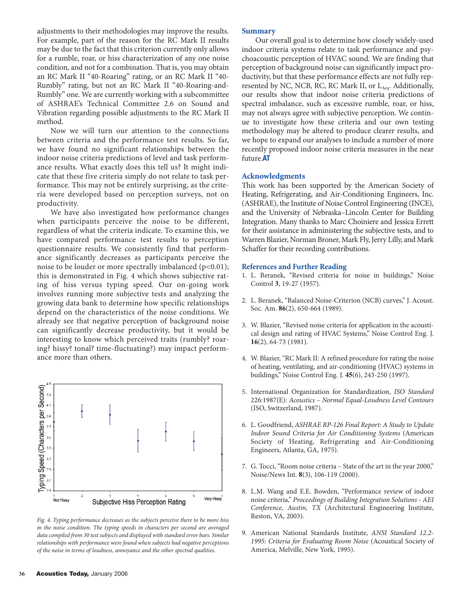adjustments to their methodologies may improve the results. For example, part of the reason for the RC Mark II results may be due to the fact that this criterion currently only allows for a rumble, roar, or hiss characterization of any one noise condition, and not for a combination. That is, you may obtain an RC Mark II "40-Roaring" rating, or an RC Mark II "40- Rumbly" rating, but not an RC Mark II "40-Roaring-and-Rumbly" one. We are currently working with a subcommittee of ASHRAE's Technical Committee 2.6 on Sound and Vibration regarding possible adjustments to the RC Mark II method.

Now we will turn our attention to the connections between criteria and the performance test results. So far, we have found no significant relationships between the indoor noise criteria predictions of level and task performance results. What exactly does this tell us? It might indicate that these five criteria simply do not relate to task performance. This may not be entirely surprising, as the criteria were developed based on perception surveys, not on productivity.

We have also investigated how performance changes when participants perceive the noise to be different, regardless of what the criteria indicate. To examine this, we have compared performance test results to perception questionnaire results. We consistently find that performance significantly decreases as participants perceive the noise to be louder or more spectrally imbalanced ( $p<0.01$ ); this is demonstrated in Fig. 4 which shows subjective rating of hiss versus typing speed. Our on-going work involves running more subjective tests and analyzing the growing data bank to determine how specific relationships depend on the characteristics of the noise conditions. We already see that negative perception of background noise can significantly decrease productivity, but it would be interesting to know which perceived traits (rumbly? roaring? hissy? tonal? time-fluctuating?) may impact performance more than others.



*Fig. 4. Typing performance decreases as the subjects perceive there to be more hiss in the noise condition. The typing speeds in characters per second are averaged data compiled from 30 test subjects and displayed with standard error bars. Similar relationships with performance were found when subjects had negative perceptions of the noise in terms of loudness, annoyance and the other spectral qualities.*

## **Summary**

Our overall goal is to determine how closely widely-used indoor criteria systems relate to task performance and psychoacoustic perception of HVAC sound. We are finding that perception of background noise can significantly impact productivity, but that these performance effects are not fully represented by NC, NCB, RC, RC Mark II, or  $L_{Aeq}$ . Additionally, our results show that indoor noise criteria predictions of spectral imbalance, such as excessive rumble, roar, or hiss, may not always agree with subjective perception. We continue to investigate how these criteria and our own testing methodology may be altered to produce clearer results, and we hope to expand our analyses to include a number of more recently proposed indoor noise criteria measures in the near future.**AT**

# **Acknowledgments**

This work has been supported by the American Society of Heating, Refrigerating, and Air-Conditioning Engineers, Inc. (ASHRAE), the Institute of Noise Control Engineering (INCE), and the University of Nebraska–Lincoln Center for Building Integration. Many thanks to Marc Choiniere and Jessica Errett for their assistance in administering the subjective tests, and to Warren Blazier, Norman Broner, Mark Fly, Jerry Lilly, and Mark Schaffer for their recording contributions.

#### **References and Further Reading**

- 1. L. Beranek, "Revised criteria for noise in buildings," Noise Control **3**, 19-27 (1957).
- 2. L. Beranek, "Balanced Noise-Criterion (NCB) curves," J. Acoust. Soc. Am. **86**(2), 650-664 (1989).
- 3. W. Blazier, "Revised noise criteria for application in the acoustical design and rating of HVAC Systems," Noise Control Eng. J. **16**(2), 64-73 (1981).
- 4. W. Blazier, "RC Mark II: A refined procedure for rating the noise of heating, ventilating, and air-conditioning (HVAC) systems in buildings," Noise Control Eng. J. **45**(6), 243-250 (1997).
- 5. International Organization for Standardization, *ISO Standard* 226:1987(E): *Acoustics – Normal Equal-Loudness Level Contours* (ISO, Switzerland, 1987).
- 6. L. Goodfriend, *ASHRAE RP-126 Final Report: A Study to Update Indoor Sound Criteria for Air Conditioning Systems* (American Society of Heating, Refrigerating and Air-Conditioning Engineers, Atlanta, GA, 1975).
- 7. G. Tocci, "Room noise criteria State of the art in the year 2000," Noise/News Int. **8**(3), 106-119 (2000).
- 8. L.M. Wang and E.E. Bowden, "Performance review of indoor noise criteria," *Proceedings of Building Integration Solutions - AEI Conference, Austin, TX* (Architectural Engineering Institute, Reston, VA, 2003).
- 9. American National Standards Institute, *ANSI Standard 12.2- 1995: Criteria for Evaluating Room Noise* (Acoustical Society of America, Melville, New York, 1995).